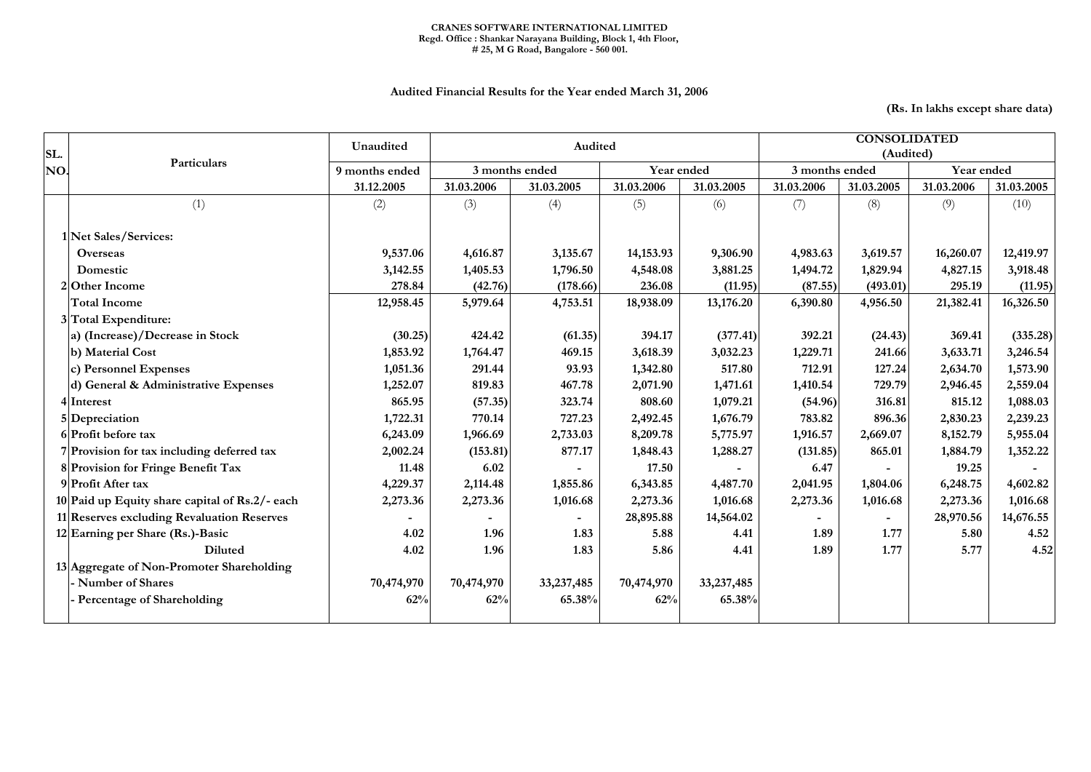## CRANES SOFTWARE INTERNATIONAL LIMITED Regd. Office : Shankar Narayana Building, Block 1, 4th Floor, # 25, M G Road, Bangalore - 560 001.

## Audited Financial Results for the Year ended March 31, 2006

(Rs. In lakhs except share data)

| SL. | Particulars                                    | Unaudited                    | Audited        |              |             |              | <b>CONSOLIDATED</b><br>(Audited) |            |            |            |
|-----|------------------------------------------------|------------------------------|----------------|--------------|-------------|--------------|----------------------------------|------------|------------|------------|
| NO. |                                                | 9 months ended<br>31.12.2005 | 3 months ended |              | Year ended  |              | 3 months ended                   |            | Year ended |            |
|     |                                                |                              | 31.03.2006     | 31.03.2005   | 31.03.2006  | 31.03.2005   | 31.03.2006                       | 31.03.2005 | 31.03.2006 | 31.03.2005 |
|     | (1)                                            | (2)                          | (3)            | (4)          | (5)         | (6)          | (7)                              | (8)        | (9)        | (10)       |
|     | 1 Net Sales/Services:                          |                              |                |              |             |              |                                  |            |            |            |
|     | <b>Overseas</b>                                | 9,537.06                     | 4,616.87       | 3,135.67     | 14, 153. 93 | 9,306.90     | 4,983.63                         | 3,619.57   | 16,260.07  | 12,419.97  |
|     | Domestic                                       | 3,142.55                     | 1,405.53       | 1,796.50     | 4,548.08    | 3,881.25     | 1,494.72                         | 1,829.94   | 4,827.15   | 3,918.48   |
|     | 20ther Income                                  | 278.84                       | (42.76)        | (178.66)     | 236.08      | (11.95)      | (87.55)                          | (493.01)   | 295.19     | (11.95)    |
|     | <b>Total Income</b>                            | 12,958.45                    | 5,979.64       | 4,753.51     | 18,938.09   | 13,176.20    | 6,390.80                         | 4,956.50   | 21,382.41  | 16,326.50  |
|     | 3 Total Expenditure:                           |                              |                |              |             |              |                                  |            |            |            |
|     | a) (Increase)/Decrease in Stock                | (30.25)                      | 424.42         | (61.35)      | 394.17      | (377.41)     | 392.21                           | (24.43)    | 369.41     | (335.28)   |
|     | b) Material Cost                               | 1,853.92                     | 1,764.47       | 469.15       | 3,618.39    | 3,032.23     | 1,229.71                         | 241.66     | 3,633.71   | 3,246.54   |
|     | c) Personnel Expenses                          | 1,051.36                     | 291.44         | 93.93        | 1,342.80    | 517.80       | 712.91                           | 127.24     | 2,634.70   | 1,573.90   |
|     | d) General & Administrative Expenses           | 1,252.07                     | 819.83         | 467.78       | 2,071.90    | 1,471.61     | 1,410.54                         | 729.79     | 2,946.45   | 2,559.04   |
|     | 4 Interest                                     | 865.95                       | (57.35)        | 323.74       | 808.60      | 1,079.21     | (54.96)                          | 316.81     | 815.12     | 1,088.03   |
|     | 5 Depreciation                                 | 1,722.31                     | 770.14         | 727.23       | 2,492.45    | 1,676.79     | 783.82                           | 896.36     | 2,830.23   | 2,239.23   |
|     | 6 Profit before tax                            | 6,243.09                     | 1,966.69       | 2,733.03     | 8,209.78    | 5,775.97     | 1,916.57                         | 2,669.07   | 8,152.79   | 5,955.04   |
|     | 7 Provision for tax including deferred tax     | 2,002.24                     | (153.81)       | 877.17       | 1,848.43    | 1,288.27     | (131.85)                         | 865.01     | 1,884.79   | 1,352.22   |
|     | 8 Provision for Fringe Benefit Tax             | 11.48                        | 6.02           |              | 17.50       |              | 6.47                             |            | 19.25      |            |
|     | 9 Profit After tax                             | 4,229.37                     | 2,114.48       | 1,855.86     | 6,343.85    | 4,487.70     | 2,041.95                         | 1,804.06   | 6,248.75   | 4,602.82   |
|     | 10 Paid up Equity share capital of Rs.2/- each | 2,273.36                     | 2,273.36       | 1,016.68     | 2,273.36    | 1,016.68     | 2,273.36                         | 1,016.68   | 2,273.36   | 1,016.68   |
|     | 11 Reserves excluding Revaluation Reserves     |                              |                |              | 28,895.88   | 14,564.02    |                                  |            | 28,970.56  | 14,676.55  |
|     | 12 Earning per Share (Rs.)-Basic               | 4.02                         | 1.96           | 1.83         | 5.88        | 4.41         | 1.89                             | 1.77       | 5.80       | 4.52       |
|     | <b>Diluted</b>                                 | 4.02                         | 1.96           | 1.83         | 5.86        | 4.41         | 1.89                             | 1.77       | 5.77       | 4.52       |
|     | 13 Aggregate of Non-Promoter Shareholding      |                              |                |              |             |              |                                  |            |            |            |
|     | Number of Shares                               | 70,474,970                   | 70,474,970     | 33, 237, 485 | 70,474,970  | 33, 237, 485 |                                  |            |            |            |
|     | <b>Percentage of Shareholding</b>              | 62%                          | 62%            | 65.38%       | 62%         | 65.38%       |                                  |            |            |            |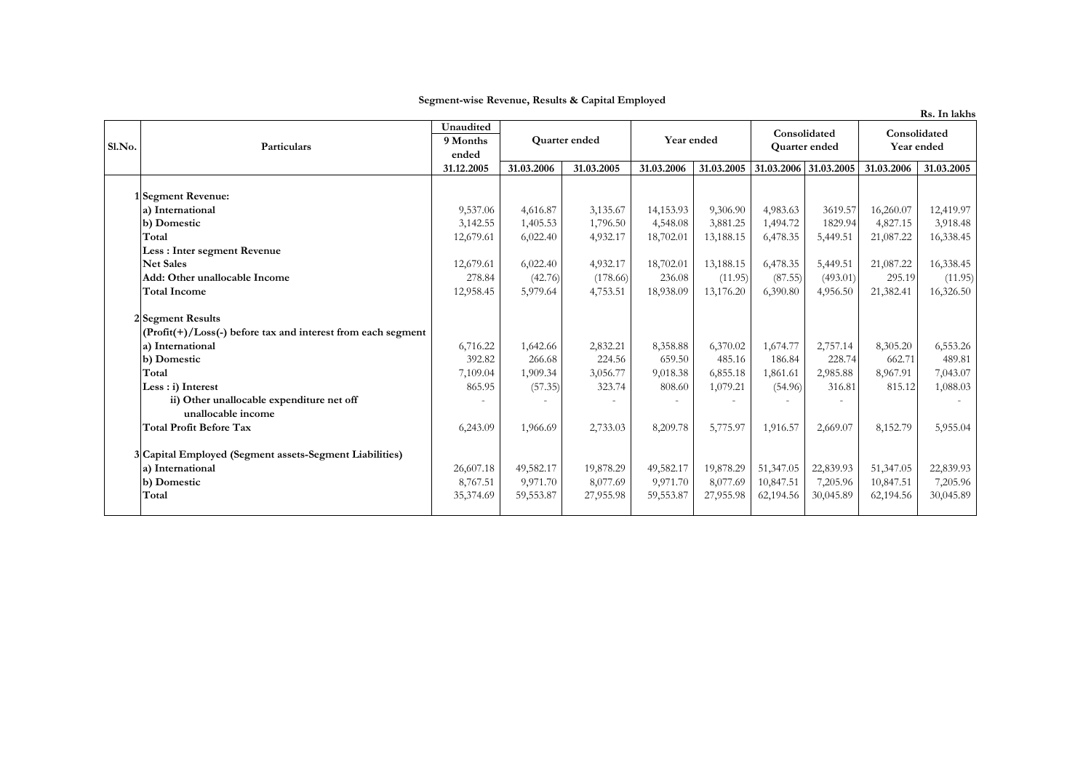|        |                                                                   |            |               |            |            |            |                               |           |                            | Rs. In lakhs |
|--------|-------------------------------------------------------------------|------------|---------------|------------|------------|------------|-------------------------------|-----------|----------------------------|--------------|
|        | Particulars                                                       | Unaudited  | Quarter ended |            | Year ended |            | Consolidated<br>Quarter ended |           | Consolidated<br>Year ended |              |
| Sl.No. |                                                                   | 9 Months   |               |            |            |            |                               |           |                            |              |
|        |                                                                   | ended      |               |            |            |            |                               |           |                            |              |
|        |                                                                   | 31.12.2005 | 31.03.2006    | 31.03.2005 | 31.03.2006 | 31.03.2005 | 31.03.2006 31.03.2005         |           | 31.03.2006                 | 31.03.2005   |
|        |                                                                   |            |               |            |            |            |                               |           |                            |              |
|        | 1 Segment Revenue:                                                |            |               |            |            |            |                               |           |                            |              |
|        | a) International                                                  | 9,537.06   | 4,616.87      | 3,135.67   | 14,153.93  | 9,306.90   | 4,983.63                      | 3619.57   | 16,260.07                  | 12,419.97    |
|        | b) Domestic                                                       | 3,142.55   | 1,405.53      | 1,796.50   | 4,548.08   | 3,881.25   | 1,494.72                      | 1829.94   | 4,827.15                   | 3,918.48     |
|        | Total                                                             | 12,679.61  | 6,022.40      | 4,932.17   | 18,702.01  | 13,188.15  | 6,478.35                      | 5,449.51  | 21,087.22                  | 16,338.45    |
|        | Less : Inter segment Revenue                                      |            |               |            |            |            |                               |           |                            |              |
|        | <b>Net Sales</b>                                                  | 12,679.61  | 6,022.40      | 4,932.17   | 18,702.01  | 13,188.15  | 6,478.35                      | 5,449.51  | 21,087.22                  | 16,338.45    |
|        | Add: Other unallocable Income                                     | 278.84     | (42.76)       | (178.66)   | 236.08     | (11.95)    | (87.55)                       | (493.01)  | 295.19                     | (11.95)      |
|        | <b>Total Income</b>                                               | 12,958.45  | 5,979.64      | 4,753.51   | 18,938.09  | 13,176.20  | 6,390.80                      | 4,956.50  | 21,382.41                  | 16,326.50    |
|        | 2 Segment Results                                                 |            |               |            |            |            |                               |           |                            |              |
|        | $(Profit(+) / Loss(-) before tax and interest from each segment)$ |            |               |            |            |            |                               |           |                            |              |
|        | a) International                                                  | 6,716.22   | 1,642.66      | 2,832.21   | 8,358.88   | 6,370.02   | 1,674.77                      | 2,757.14  | 8,305.20                   | 6,553.26     |
|        | b) Domestic                                                       | 392.82     | 266.68        | 224.56     | 659.50     | 485.16     | 186.84                        | 228.74    | 662.71                     | 489.81       |
|        | Total                                                             | 7,109.04   | 1,909.34      | 3,056.77   | 9,018.38   | 6,855.18   | 1,861.61                      | 2,985.88  | 8,967.91                   | 7,043.07     |
|        | Less : i) Interest                                                | 865.95     | (57.35)       | 323.74     | 808.60     | 1,079.21   | (54.96)                       | 316.81    | 815.12                     | 1,088.03     |
|        | ii) Other unallocable expenditure net off                         |            |               |            |            |            |                               |           |                            |              |
|        | unallocable income                                                |            |               |            |            |            |                               |           |                            |              |
|        | <b>Total Profit Before Tax</b>                                    | 6,243.09   | 1,966.69      | 2,733.03   | 8,209.78   | 5,775.97   | 1,916.57                      | 2,669.07  | 8,152.79                   | 5,955.04     |
|        | 3 Capital Employed (Segment assets-Segment Liabilities)           |            |               |            |            |            |                               |           |                            |              |
|        | a) International                                                  | 26,607.18  | 49,582.17     | 19,878.29  | 49,582.17  | 19,878.29  | 51,347.05                     | 22,839.93 | 51,347.05                  | 22,839.93    |
|        | b) Domestic                                                       | 8,767.51   | 9,971.70      | 8,077.69   | 9,971.70   | 8,077.69   | 10,847.51                     | 7,205.96  | 10,847.51                  | 7,205.96     |
|        | Total                                                             | 35,374.69  | 59,553.87     | 27,955.98  | 59,553.87  | 27,955.98  | 62,194.56                     | 30,045.89 | 62,194.56                  | 30,045.89    |
|        |                                                                   |            |               |            |            |            |                               |           |                            |              |

## Segment-wise Revenue, Results & Capital Employed